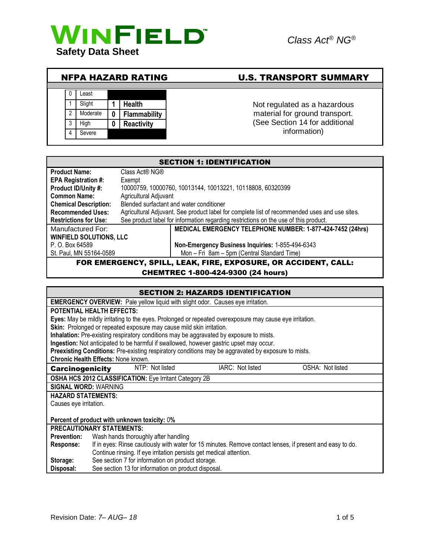

# NFPA HAZARD RATING U.S. TRANSPORT SUMMARY



material for ground transport. (See Section 14 for additional information)

| <b>SECTION 1: IDENTIFICATION</b>                               |                                                                                               |  |
|----------------------------------------------------------------|-----------------------------------------------------------------------------------------------|--|
| <b>Product Name:</b>                                           | Class Act® NG®                                                                                |  |
| <b>EPA Registration #:</b>                                     | Exempt                                                                                        |  |
| Product ID/Unity #:                                            | 10000759, 10000760, 10013144, 10013221, 10118808, 60320399                                    |  |
| <b>Common Name:</b>                                            | Agricultural Adjuvant                                                                         |  |
| <b>Chemical Description:</b>                                   | Blended surfactant and water conditioner                                                      |  |
| <b>Recommended Uses:</b>                                       | Agricultural Adjuvant. See product label for complete list of recommended uses and use sites. |  |
| <b>Restrictions for Use:</b>                                   | See product label for information regarding restrictions on the use of this product.          |  |
| Manufactured For:                                              | MEDICAL EMERGENCY TELEPHONE NUMBER: 1-877-424-7452 (24hrs)                                    |  |
| <b>WINFIELD SOLUTIONS, LLC</b>                                 |                                                                                               |  |
| P. O. Box 64589                                                | Non-Emergency Business Inquiries: 1-855-494-6343                                              |  |
| St. Paul, MN 55164-0589                                        | Mon - Fri 8am - 5pm (Central Standard Time)                                                   |  |
| FOR EMERGENCY, SPILL, LEAK, FIRE, EXPOSURE, OR ACCIDENT, CALL: |                                                                                               |  |
| <b>CHEMTREC 1-800-424-9300 (24 hours)</b>                      |                                                                                               |  |

# SECTION 2: HAZARDS IDENTIFICATION

| SECTION 2: HAZARDS IDENTIFICATION                                                                                      |
|------------------------------------------------------------------------------------------------------------------------|
| <b>EMERGENCY OVERVIEW:</b> Pale yellow liquid with slight odor. Causes eye irritation.                                 |
| <b>POTENTIAL HEALTH EFFECTS:</b>                                                                                       |
| Eyes: May be mildly irritating to the eyes. Prolonged or repeated overexposure may cause eye irritation.               |
| Skin: Prolonged or repeated exposure may cause mild skin irritation.                                                   |
| Inhalation: Pre-existing respiratory conditions may be aggravated by exposure to mists.                                |
| Ingestion: Not anticipated to be harmful if swallowed, however gastric upset may occur.                                |
| Preexisting Conditions: Pre-existing respiratory conditions may be aggravated by exposure to mists.                    |
| <b>Chronic Health Effects: None known.</b>                                                                             |
| NTP: Not listed<br>IARC: Not listed<br>OSHA: Not listed<br><b>Carcinogenicity</b>                                      |
| OSHA HCS 2012 CLASSIFICATION: Eye Irritant Category 2B                                                                 |
| <b>SIGNAL WORD: WARNING</b>                                                                                            |
| <b>HAZARD STATEMENTS:</b>                                                                                              |
| Causes eye irritation.                                                                                                 |
|                                                                                                                        |
| Percent of product with unknown toxicity: 0%                                                                           |
| <b>PRECAUTIONARY STATEMENTS:</b>                                                                                       |
| Wash hands thoroughly after handling<br><b>Prevention:</b>                                                             |
| If in eyes: Rinse cautiously with water for 15 minutes. Remove contact lenses, if present and easy to do.<br>Response: |
| Continue rinsing. If eye irritation persists get medical attention.                                                    |
| See section 7 for information on product storage.<br>Storage:                                                          |
| See section 13 for information on product disposal.<br>Disposal:                                                       |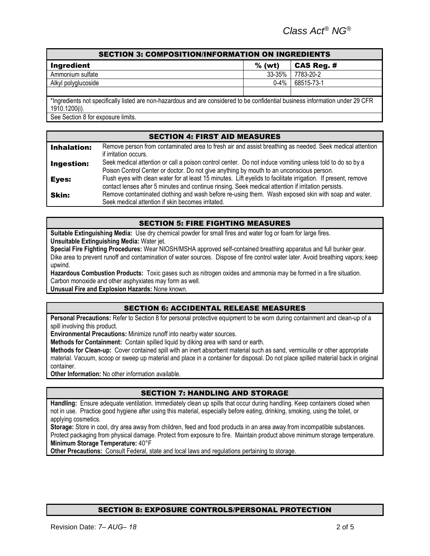| <b>SECTION 3: COMPOSITION/INFORMATION ON INGREDIENTS</b>                                                                       |           |                   |  |
|--------------------------------------------------------------------------------------------------------------------------------|-----------|-------------------|--|
| Ingredient                                                                                                                     | $%$ (wt)  | <b>CAS Reg. #</b> |  |
| Ammonium sulfate                                                                                                               | 33-35%    | 7783-20-2         |  |
| Alkyl polyglucoside                                                                                                            | $0 - 4\%$ | 68515-73-1        |  |
|                                                                                                                                |           |                   |  |
| *Ingredients not specifically listed are non-hazardous and are considered to be confidential business information under 29 CFR |           |                   |  |
| 1910.1200(i).                                                                                                                  |           |                   |  |
| See Section 8 for exposure limits.                                                                                             |           |                   |  |

### SECTION 4: FIRST AID MEASURES

| <b>Inhalation:</b> | Remove person from contaminated area to fresh air and assist breathing as needed. Seek medical attention<br>if irritation occurs.                                                                                     |
|--------------------|-----------------------------------------------------------------------------------------------------------------------------------------------------------------------------------------------------------------------|
| <b>Ingestion:</b>  | Seek medical attention or call a poison control center. Do not induce vomiting unless told to do so by a<br>Poison Control Center or doctor. Do not give anything by mouth to an unconscious person.                  |
| Eyes:              | Flush eyes with clean water for at least 15 minutes. Lift eyelids to facilitate irrigation. If present, remove<br>contact lenses after 5 minutes and continue rinsing. Seek medical attention if irritation persists. |
| <b>Skin:</b>       | Remove contaminated clothing and wash before re-using them. Wash exposed skin with soap and water.<br>Seek medical attention if skin becomes irritated.                                                               |

### SECTION 5: FIRE FIGHTING MEASURES

**Suitable Extinguishing Media:** Use dry chemical powder for small fires and water fog or foam for large fires. **Unsuitable Extinguishing Media:** Water jet.

**Special Fire Fighting Procedures:** Wear NIOSH/MSHA approved self-contained breathing apparatus and full bunker gear. Dike area to prevent runoff and contamination of water sources. Dispose of fire control water later. Avoid breathing vapors; keep upwind.

**Hazardous Combustion Products:** Toxic gases such as nitrogen oxides and ammonia may be formed in a fire situation. Carbon monoxide and other asphyxiates may form as well.

**Unusual Fire and Explosion Hazards:** None known.

#### SECTION 6: ACCIDENTAL RELEASE MEASURES

**Personal Precautions:** Refer to Section 8 for personal protective equipment to be worn during containment and clean-up of a spill involving this product.

**Environmental Precautions:** Minimize runoff into nearby water sources.

**Methods for Containment:** Contain spilled liquid by diking area with sand or earth.

**Methods for Clean-up:** Cover contained spill with an inert absorbent material such as sand, vermiculite or other appropriate material. Vacuum, scoop or sweep up material and place in a container for disposal. Do not place spilled material back in original container.

**Other Information:** No other information available.

# SECTION 7: HANDLING AND STORAGE

**Handling:** Ensure adequate ventilation. Immediately clean up spills that occur during handling. Keep containers closed when not in use. Practice good hygiene after using this material, especially before eating, drinking, smoking, using the toilet, or applying cosmetics.

**Storage:** Store in cool, dry area away from children, feed and food products in an area away from incompatible substances. Protect packaging from physical damage. Protect from exposure to fire. Maintain product above minimum storage temperature. **Minimum Storage Temperature:** 40°F

**Other Precautions:** Consult Federal, state and local laws and regulations pertaining to storage.

#### SECTION 8: EXPOSURE CONTROLS/PERSONAL PROTECTION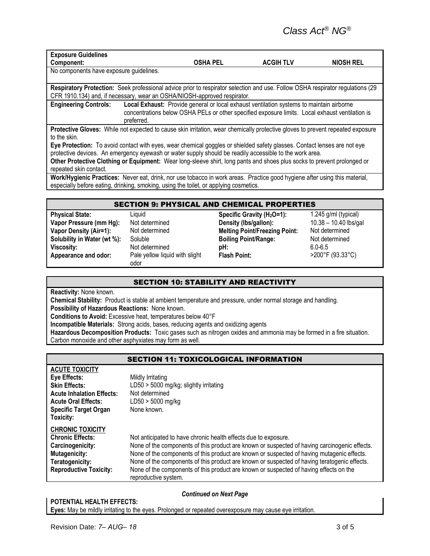| <b>Exposure Guidelines</b>                                                                                                                                                                                                                                                                                                                                                               |            |                 |                                                                                                                                                                                             |                  |
|------------------------------------------------------------------------------------------------------------------------------------------------------------------------------------------------------------------------------------------------------------------------------------------------------------------------------------------------------------------------------------------|------------|-----------------|---------------------------------------------------------------------------------------------------------------------------------------------------------------------------------------------|------------------|
| Component:                                                                                                                                                                                                                                                                                                                                                                               |            | <b>OSHA PEL</b> | <b>ACGIH TLV</b>                                                                                                                                                                            | <b>NIOSH REL</b> |
| No components have exposure guidelines.                                                                                                                                                                                                                                                                                                                                                  |            |                 |                                                                                                                                                                                             |                  |
|                                                                                                                                                                                                                                                                                                                                                                                          |            |                 |                                                                                                                                                                                             |                  |
| CFR 1910.134) and, if necessary, wear an OSHA/NIOSH-approved respirator.                                                                                                                                                                                                                                                                                                                 |            |                 | Respiratory Protection: Seek professional advice prior to respirator selection and use. Follow OSHA respirator regulations (29                                                              |                  |
| <b>Engineering Controls:</b>                                                                                                                                                                                                                                                                                                                                                             | preferred. |                 | Local Exhaust: Provide general or local exhaust ventilation systems to maintain airborne<br>concentrations below OSHA PELs or other specified exposure limits. Local exhaust ventilation is |                  |
| to the skin.                                                                                                                                                                                                                                                                                                                                                                             |            |                 | Protective Gloves: While not expected to cause skin irritation, wear chemically protective gloves to prevent repeated exposure                                                              |                  |
| Eye Protection: To avoid contact with eyes, wear chemical goggles or shielded safety glasses. Contact lenses are not eye<br>protective devices. An emergency eyewash or water supply should be readily accessible to the work area.<br>Other Protective Clothing or Equipment: Wear long-sleeve shirt, long pants and shoes plus socks to prevent prolonged or<br>repeated skin contact. |            |                 |                                                                                                                                                                                             |                  |
| especially before eating, drinking, smoking, using the toilet, or applying cosmetics.                                                                                                                                                                                                                                                                                                    |            |                 | Work/Hygienic Practices: Never eat, drink, nor use tobacco in work areas. Practice good hygiene after using this material,                                                                  |                  |

#### SECTION 9: PHYSICAL AND CHEMICAL PROPERTIES

| <b>Physical State:</b>        |
|-------------------------------|
| Vapor Pressure (mm Hg):       |
| <b>Vapor Density (Air=1):</b> |
| Solubility in Water (wt %):   |
| Viscosity:                    |
| Appearance and odor:          |

Pale yellow liquid with slight odor

**Physical State:** Liquid **Specific Gravity (H2O=1):** 1.245 g/ml (typical) Not determined **Density (lbs/gallon):** 10.38 – 10.40 lbs/gallon Not determined **Melting Point/Freezing Point:** Not determined **Soluble 6 Coluble 5 Boiling Point/Range:** Not determined Not determined **pH: pH:** 6.0-6.5<br>
Pale yellow liquid with slight **Flash Point:** 200°F

**Flash Point:** >200°F (93.33°C)

# SECTION 10: STABILITY AND REACTIVITY

**Reactivity:** None known.

**Chemical Stability:** Product is stable at ambient temperature and pressure, under normal storage and handling. **Possibility of Hazardous Reactions:** None known.

**Conditions to Avoid:** Excessive heat, temperatures below 40°F

**Incompatible Materials:** Strong acids, bases, reducing agents and oxidizing agents

**Hazardous Decomposition Products:** Toxic gases such as nitrogen oxides and ammonia may be formed in a fire situation. Carbon monoxide and other asphyxiates may form as well.

# SECTION 11: TOXICOLOGICAL INFORMATION

| <b>ACUTE TOXICITY</b>            |                                                                                               |
|----------------------------------|-----------------------------------------------------------------------------------------------|
| Eye Effects:                     | Mildly Irritating                                                                             |
| <b>Skin Effects:</b>             | LD50 > 5000 mg/kg; slightly irritating                                                        |
| <b>Acute Inhalation Effects:</b> | Not determined                                                                                |
| <b>Acute Oral Effects:</b>       | $LD50 > 5000$ mg/kg                                                                           |
| <b>Specific Target Organ</b>     | None known.                                                                                   |
| Toxicity:                        |                                                                                               |
| <b>CHRONIC TOXICITY</b>          |                                                                                               |
| <b>Chronic Effects:</b>          | Not anticipated to have chronic health effects due to exposure.                               |
| Carcinogenicity:                 | None of the components of this product are known or suspected of having carcinogenic effects. |
| <b>Mutagenicity:</b>             | None of the components of this product are known or suspected of having mutagenic effects.    |
| Teratogenicity:                  | None of the components of this product are known or suspected of having teratogenic effects.  |
| <b>Reproductive Toxicity:</b>    | None of the components of this product are known or suspected of having effects on the        |
|                                  | reproductive system.                                                                          |

#### *Continued on Next Page*

**POTENTIAL HEALTH EFFECTS: Eyes:** May be mildly irritating to the eyes. Prolonged or repeated overexposure may cause eye irritation.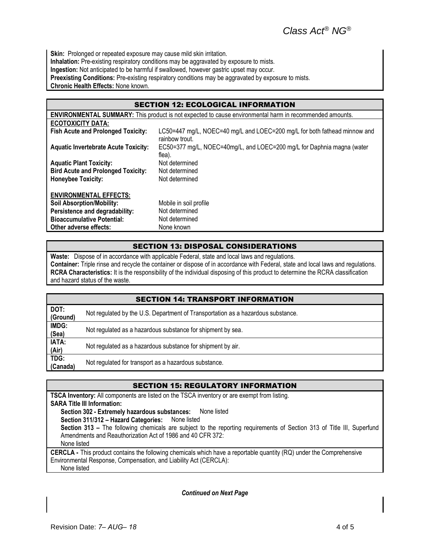**Skin:** Prolonged or repeated exposure may cause mild skin irritation. **Inhalation:** Pre-existing respiratory conditions may be aggravated by exposure to mists. **Ingestion:** Not anticipated to be harmful if swallowed, however gastric upset may occur. **Preexisting Conditions:** Pre-existing respiratory conditions may be aggravated by exposure to mists. **Chronic Health Effects:** None known.

# SECTION 12: ECOLOGICAL INFORMATION

|                                             | <b>ENVIRONMENTAL SUMMARY:</b> This product is not expected to cause environmental harm in recommended amounts. |
|---------------------------------------------|----------------------------------------------------------------------------------------------------------------|
| <b>ECOTOXICITY DATA:</b>                    |                                                                                                                |
| <b>Fish Acute and Prolonged Toxicity:</b>   | LC50=447 mg/L, NOEC=40 mg/L and LOEC=200 mg/L for both fathead minnow and<br>rainbow trout.                    |
| <b>Aquatic Invertebrate Acute Toxicity:</b> | EC50=377 mg/L, NOEC=40mg/L, and LOEC=200 mg/L for Daphnia magna (water<br>flea).                               |
| <b>Aquatic Plant Toxicity:</b>              | Not determined                                                                                                 |
| <b>Bird Acute and Prolonged Toxicity:</b>   | Not determined                                                                                                 |
| <b>Honeybee Toxicity:</b>                   | Not determined                                                                                                 |
| <b>ENVIRONMENTAL EFFECTS:</b>               |                                                                                                                |
| <b>Soil Absorption/Mobility:</b>            | Mobile in soil profile                                                                                         |
| Persistence and degradability:              | Not determined                                                                                                 |
| <b>Bioaccumulative Potential:</b>           | Not determined                                                                                                 |
| Other adverse effects:                      | None known                                                                                                     |

# SECTION 13: DISPOSAL CONSIDERATIONS

**Waste:** Dispose of in accordance with applicable Federal, state and local laws and regulations. **Container:** Triple rinse and recycle the container or dispose of in accordance with Federal, state and local laws and regulations. **RCRA Characteristics:** It is the responsibility of the individual disposing of this product to determine the RCRA classification and hazard status of the waste.

| <b>SECTION 14: TRANSPORT INFORMATION</b> |                                                                                  |  |
|------------------------------------------|----------------------------------------------------------------------------------|--|
| DOT:<br>(Ground)                         | Not regulated by the U.S. Department of Transportation as a hazardous substance. |  |
| IMDG:<br>(Sea)                           | Not regulated as a hazardous substance for shipment by sea.                      |  |
| IATA:<br>(Air)                           | Not regulated as a hazardous substance for shipment by air.                      |  |
| TDG:<br>(Canada)                         | Not regulated for transport as a hazardous substance.                            |  |

# SECTION 15: REGULATORY INFORMATION

**TSCA Inventory:** All components are listed on the TSCA inventory or are exempt from listing. **SARA Title III Information: Section 302 - Extremely hazardous substances:** None listed **Section 311/312 – Hazard Categories:** None listed **Section 313 –** The following chemicals are subject to the reporting requirements of Section 313 of Title III, Superfund Amendments and Reauthorization Act of 1986 and 40 CFR 372: None listed **CERCLA -** This product contains the following chemicals which have a reportable quantity (RQ) under the Comprehensive Environmental Response, Compensation, and Liability Act (CERCLA): None listed

*Continued on Next Page*